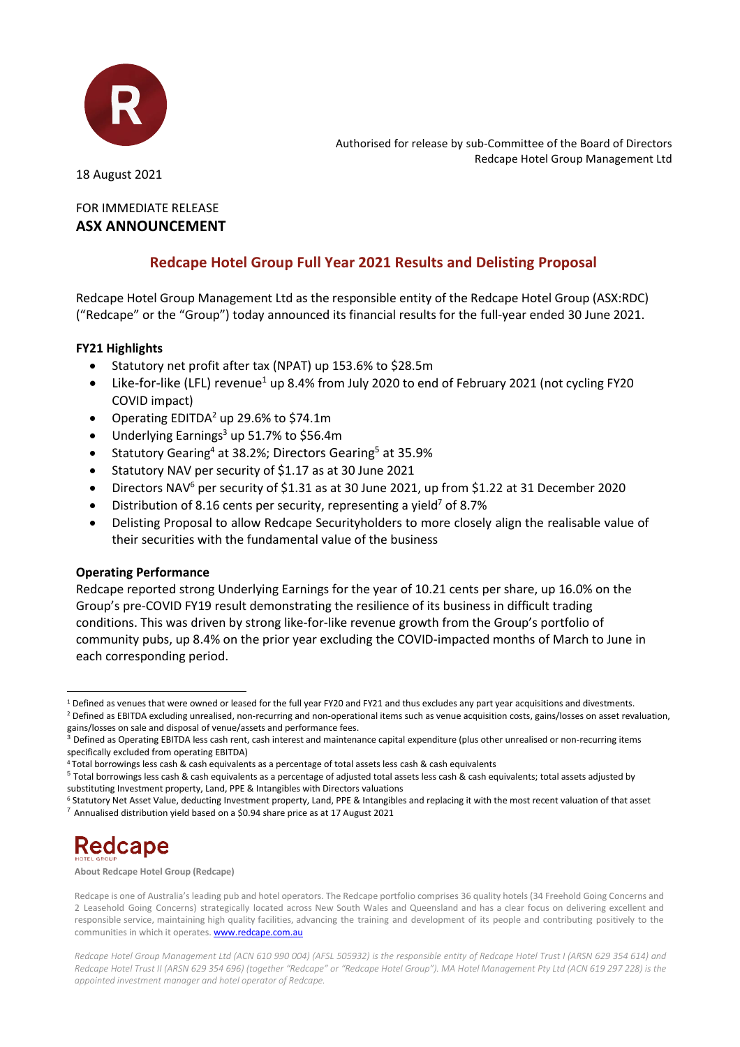

Authorised for release by sub-Committee of the Board of Directors Redcape Hotel Group Management Ltd

18 August 2021

### FOR IMMEDIATE RELEASE **ASX ANNOUNCEMENT**

## **Redcape Hotel Group Full Year 2021 Results and Delisting Proposal**

Redcape Hotel Group Management Ltd as the responsible entity of the Redcape Hotel Group (ASX:RDC) ("Redcape" or the "Group") today announced its financial results for the full-year ended 30 June 2021.

### **FY21 Highlights**

- Statutory net profit after tax (NPAT) up 153.6% to \$28.5m
- Like-for-like (LFL) revenue<sup>1</sup> up 8.4% from July 2020 to end of February 2021 (not cycling FY20 COVID impact)
- Operating EDITDA<sup>2</sup> up 29.6% to \$74.1m
- Underlying Earnings<sup>3</sup> up 51.7% to \$56.4m
- Statutory Gearing<sup>4</sup> at 38.2%; Directors Gearing<sup>5</sup> at 35.9%
- Statutory NAV per security of \$1.17 as at 30 June 2021
- Directors NAV<sup>6</sup> per security of \$1.31 as at 30 June 2021, up from \$1.22 at 31 December 2020
- Distribution of 8.16 cents per security, representing a yield<sup>7</sup> of 8.7%
- Delisting Proposal to allow Redcape Securityholders to more closely align the realisable value of their securities with the fundamental value of the business

### **Operating Performance**

Redcape reported strong Underlying Earnings for the year of 10.21 cents per share, up 16.0% on the Group's pre-COVID FY19 result demonstrating the resilience of its business in difficult trading conditions. This was driven by strong like-for-like revenue growth from the Group's portfolio of community pubs, up 8.4% on the prior year excluding the COVID-impacted months of March to June in each corresponding period.

# **Redcape**

**About Redcape Hotel Group (Redcape)**

<sup>1</sup> Defined as venues that were owned or leased for the full year FY20 and FY21 and thus excludes any part year acquisitions and divestments.

<sup>&</sup>lt;sup>2</sup> Defined as EBITDA excluding unrealised, non-recurring and non-operational items such as venue acquisition costs, gains/losses on asset revaluation, gains/losses on sale and disposal of venue/assets and performance fees.

 $3$  Defined as Operating EBITDA less cash rent, cash interest and maintenance capital expenditure (plus other unrealised or non-recurring items specifically excluded from operating EBITDA)

<sup>4</sup> Total borrowings less cash & cash equivalents as a percentage of total assets less cash & cash equivalents

 $^5$  Total borrowings less cash & cash equivalents as a percentage of adjusted total assets less cash & cash equivalents; total assets adjusted by substituting Investment property, Land, PPE & Intangibles with Directors valuations

<sup>6</sup> Statutory Net Asset Value, deducting Investment property, Land, PPE & Intangibles and replacing it with the most recent valuation of that asset  $7$  Annualised distribution yield based on a \$0.94 share price as at 17 August 2021

Redcape is one of Australia's leading pub and hotel operators. The Redcape portfolio comprises 36 quality hotels (34 Freehold Going Concerns and 2 Leasehold Going Concerns) strategically located across New South Wales and Queensland and has a clear focus on delivering excellent and responsible service, maintaining high quality facilities, advancing the training and development of its people and contributing positively to the communities in which it operates[. www.redcape.com.au](http://www.redcape.com.au/)

*Redcape Hotel Group Management Ltd (ACN 610 990 004) (AFSL 505932) is the responsible entity of Redcape Hotel Trust I (ARSN 629 354 614) and Redcape Hotel Trust II (ARSN 629 354 696) (together "Redcape" or "Redcape Hotel Group"). MA Hotel Management Pty Ltd (ACN 619 297 228) is the appointed investment manager and hotel operator of Redcape.*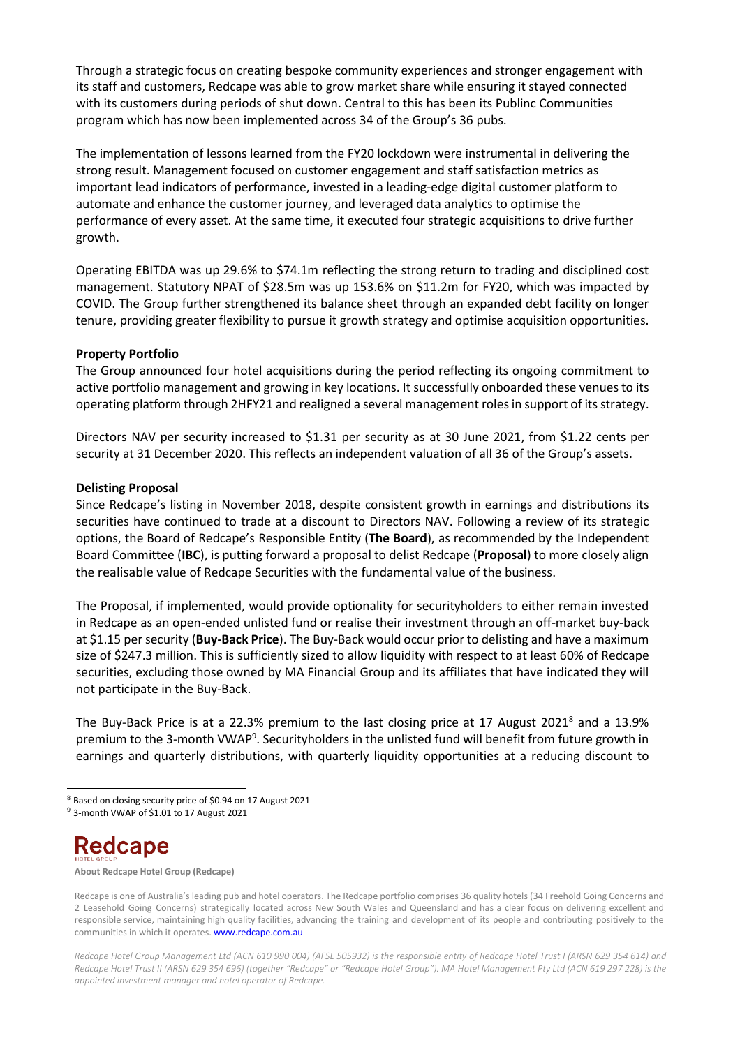Through a strategic focus on creating bespoke community experiences and stronger engagement with its staff and customers, Redcape was able to grow market share while ensuring it stayed connected with its customers during periods of shut down. Central to this has been its Publinc Communities program which has now been implemented across 34 of the Group's 36 pubs.

The implementation of lessons learned from the FY20 lockdown were instrumental in delivering the strong result. Management focused on customer engagement and staff satisfaction metrics as important lead indicators of performance, invested in a leading-edge digital customer platform to automate and enhance the customer journey, and leveraged data analytics to optimise the performance of every asset. At the same time, it executed four strategic acquisitions to drive further growth.

Operating EBITDA was up 29.6% to \$74.1m reflecting the strong return to trading and disciplined cost management. Statutory NPAT of \$28.5m was up 153.6% on \$11.2m for FY20, which was impacted by COVID. The Group further strengthened its balance sheet through an expanded debt facility on longer tenure, providing greater flexibility to pursue it growth strategy and optimise acquisition opportunities.

#### **Property Portfolio**

The Group announced four hotel acquisitions during the period reflecting its ongoing commitment to active portfolio management and growing in key locations. It successfully onboarded these venues to its operating platform through 2HFY21 and realigned a several management rolesin support of its strategy.

Directors NAV per security increased to \$1.31 per security as at 30 June 2021, from \$1.22 cents per security at 31 December 2020. This reflects an independent valuation of all 36 of the Group's assets.

#### **Delisting Proposal**

Since Redcape's listing in November 2018, despite consistent growth in earnings and distributions its securities have continued to trade at a discount to Directors NAV. Following a review of its strategic options, the Board of Redcape's Responsible Entity (**The Board**), as recommended by the Independent Board Committee (**IBC**), is putting forward a proposal to delist Redcape (**Proposal**) to more closely align the realisable value of Redcape Securities with the fundamental value of the business.

The Proposal, if implemented, would provide optionality for securityholders to either remain invested in Redcape as an open-ended unlisted fund or realise their investment through an off-market buy-back at \$1.15 per security (**Buy-Back Price**). The Buy-Back would occur prior to delisting and have a maximum size of \$247.3 million. This is sufficiently sized to allow liquidity with respect to at least 60% of Redcape securities, excluding those owned by MA Financial Group and its affiliates that have indicated they will not participate in the Buy-Back.

The Buy-Back Price is at a 22.3% premium to the last closing price at 17 August 2021<sup>8</sup> and a 13.9% premium to the 3-month VWAP<sup>9</sup>. Securityholders in the unlisted fund will benefit from future growth in earnings and quarterly distributions, with quarterly liquidity opportunities at a reducing discount to

# Redcape

**About Redcape Hotel Group (Redcape)**

<sup>8</sup> Based on closing security price of \$0.94 on 17 August 2021

<sup>9</sup> 3-month VWAP of \$1.01 to 17 August 2021

Redcape is one of Australia's leading pub and hotel operators. The Redcape portfolio comprises 36 quality hotels (34 Freehold Going Concerns and 2 Leasehold Going Concerns) strategically located across New South Wales and Queensland and has a clear focus on delivering excellent and responsible service, maintaining high quality facilities, advancing the training and development of its people and contributing positively to the communities in which it operates[. www.redcape.com.au](http://www.redcape.com.au/)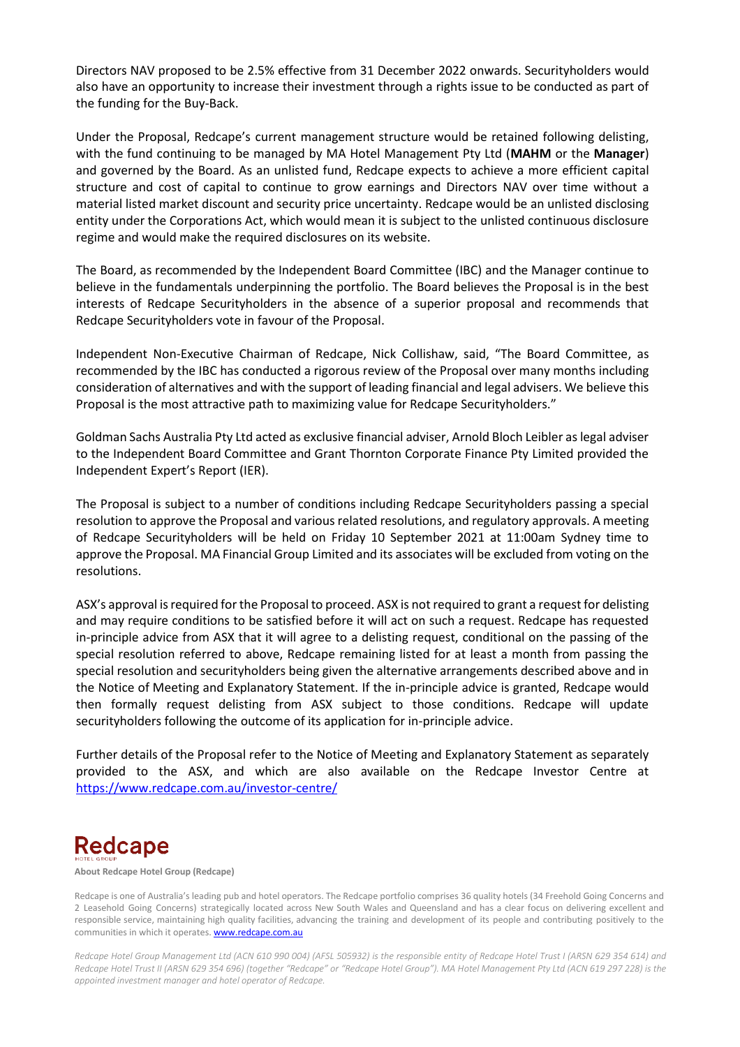Directors NAV proposed to be 2.5% effective from 31 December 2022 onwards. Securityholders would also have an opportunity to increase their investment through a rights issue to be conducted as part of the funding for the Buy-Back.

Under the Proposal, Redcape's current management structure would be retained following delisting, with the fund continuing to be managed by MA Hotel Management Pty Ltd (**MAHM** or the **Manager**) and governed by the Board. As an unlisted fund, Redcape expects to achieve a more efficient capital structure and cost of capital to continue to grow earnings and Directors NAV over time without a material listed market discount and security price uncertainty. Redcape would be an unlisted disclosing entity under the Corporations Act, which would mean it is subject to the unlisted continuous disclosure regime and would make the required disclosures on its website.

The Board, as recommended by the Independent Board Committee (IBC) and the Manager continue to believe in the fundamentals underpinning the portfolio. The Board believes the Proposal is in the best interests of Redcape Securityholders in the absence of a superior proposal and recommends that Redcape Securityholders vote in favour of the Proposal.

Independent Non-Executive Chairman of Redcape, Nick Collishaw, said, "The Board Committee, as recommended by the IBC has conducted a rigorous review of the Proposal over many months including consideration of alternatives and with the support of leading financial and legal advisers. We believe this Proposal is the most attractive path to maximizing value for Redcape Securityholders."

Goldman Sachs Australia Pty Ltd acted as exclusive financial adviser, Arnold Bloch Leibler as legal adviser to the Independent Board Committee and Grant Thornton Corporate Finance Pty Limited provided the Independent Expert's Report (IER).

The Proposal is subject to a number of conditions including Redcape Securityholders passing a special resolution to approve the Proposal and various related resolutions, and regulatory approvals. A meeting of Redcape Securityholders will be held on Friday 10 September 2021 at 11:00am Sydney time to approve the Proposal. MA Financial Group Limited and its associates will be excluded from voting on the resolutions.

ASX's approval is required for the Proposal to proceed. ASX is not required to grant a request for delisting and may require conditions to be satisfied before it will act on such a request. Redcape has requested in-principle advice from ASX that it will agree to a delisting request, conditional on the passing of the special resolution referred to above, Redcape remaining listed for at least a month from passing the special resolution and securityholders being given the alternative arrangements described above and in the Notice of Meeting and Explanatory Statement. If the in-principle advice is granted, Redcape would then formally request delisting from ASX subject to those conditions. Redcape will update securityholders following the outcome of its application for in-principle advice.

Further details of the Proposal refer to the Notice of Meeting and Explanatory Statement as separately provided to the ASX, and which are also available on the Redcape Investor Centre at <https://www.redcape.com.au/investor-centre/>

# **Redcape**

**About Redcape Hotel Group (Redcape)**

Redcape is one of Australia's leading pub and hotel operators. The Redcape portfolio comprises 36 quality hotels (34 Freehold Going Concerns and 2 Leasehold Going Concerns) strategically located across New South Wales and Queensland and has a clear focus on delivering excellent and responsible service, maintaining high quality facilities, advancing the training and development of its people and contributing positively to the communities in which it operates[. www.redcape.com.au](http://www.redcape.com.au/)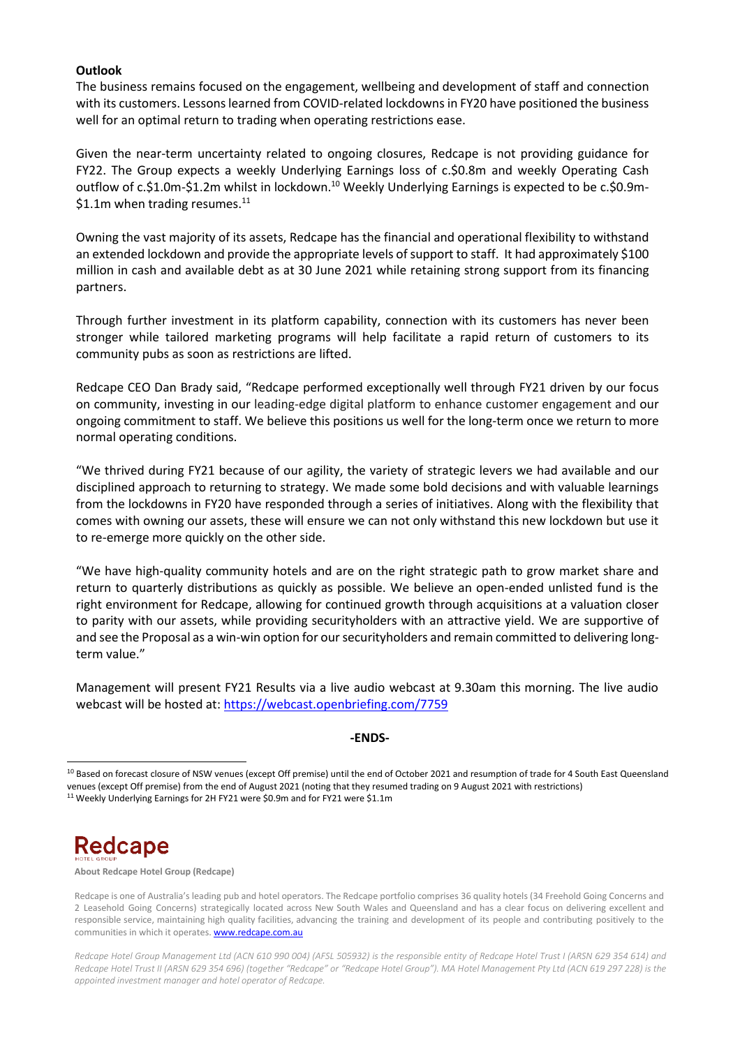#### **Outlook**

The business remains focused on the engagement, wellbeing and development of staff and connection with its customers. Lessons learned from COVID-related lockdowns in FY20 have positioned the business well for an optimal return to trading when operating restrictions ease.

Given the near-term uncertainty related to ongoing closures, Redcape is not providing guidance for FY22. The Group expects a weekly Underlying Earnings loss of c.\$0.8m and weekly Operating Cash outflow of c.\$1.0m-\$1.2m whilst in lockdown.<sup>10</sup> Weekly Underlying Earnings is expected to be c.\$0.9m-\$1.1m when trading resumes.<sup>11</sup>

Owning the vast majority of its assets, Redcape has the financial and operational flexibility to withstand an extended lockdown and provide the appropriate levels of support to staff. It had approximately \$100 million in cash and available debt as at 30 June 2021 while retaining strong support from its financing partners.

Through further investment in its platform capability, connection with its customers has never been stronger while tailored marketing programs will help facilitate a rapid return of customers to its community pubs as soon as restrictions are lifted.

Redcape CEO Dan Brady said, "Redcape performed exceptionally well through FY21 driven by our focus on community, investing in our leading-edge digital platform to enhance customer engagement and our ongoing commitment to staff. We believe this positions us well for the long-term once we return to more normal operating conditions.

"We thrived during FY21 because of our agility, the variety of strategic levers we had available and our disciplined approach to returning to strategy. We made some bold decisions and with valuable learnings from the lockdowns in FY20 have responded through a series of initiatives. Along with the flexibility that comes with owning our assets, these will ensure we can not only withstand this new lockdown but use it to re-emerge more quickly on the other side.

"We have high-quality community hotels and are on the right strategic path to grow market share and return to quarterly distributions as quickly as possible. We believe an open-ended unlisted fund is the right environment for Redcape, allowing for continued growth through acquisitions at a valuation closer to parity with our assets, while providing securityholders with an attractive yield. We are supportive of and see the Proposal as a win-win option for our securityholders and remain committed to delivering longterm value."

Management will present FY21 Results via a live audio webcast at 9.30am this morning. The live audio webcast will be hosted at: https://webcast.openbriefing.com/7759

#### **-ENDS-**

<sup>&</sup>lt;sup>10</sup> Based on forecast closure of NSW venues (except Off premise) until the end of October 2021 and resumption of trade for 4 South East Queensland venues (except Off premise) from the end of August 2021 (noting that they resumed trading on 9 August 2021 with restrictions) <sup>11</sup> Weekly Underlying Earnings for 2H FY21 were \$0.9m and for FY21 were \$1.1m



**About Redcape Hotel Group (Redcape)**

Redcape is one of Australia's leading pub and hotel operators. The Redcape portfolio comprises 36 quality hotels (34 Freehold Going Concerns and 2 Leasehold Going Concerns) strategically located across New South Wales and Queensland and has a clear focus on delivering excellent and responsible service, maintaining high quality facilities, advancing the training and development of its people and contributing positively to the communities in which it operates[. www.redcape.com.au](http://www.redcape.com.au/)